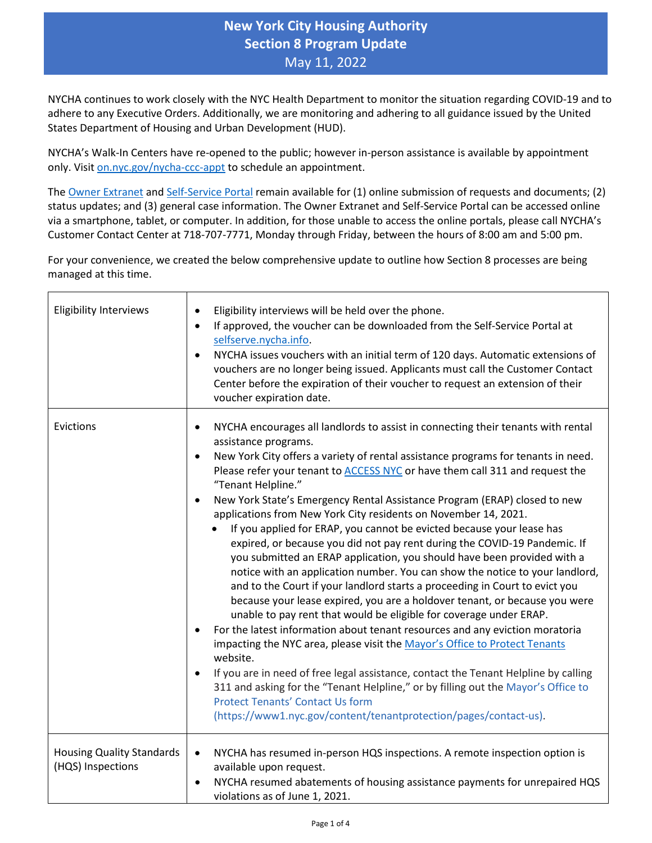## **New York City Housing Authority Section 8 Program Update** May 11, 2022

NYCHA continues to work closely with the NYC Health Department to monitor the situation regarding COVID-19 and to adhere to any Executive Orders. Additionally, we are monitoring and adhering to all guidance issued by the United States Department of Housing and Urban Development (HUD).

NYCHA's Walk-In Centers have re-opened to the public; however in-person assistance is available by appointment only. Visit [on.nyc.gov/nycha-ccc-appt](https://wb-nycha.qmatic.cloud/qmaticwebbooking/#/) to schedule an appointment.

The [Owner Extranet](https://eapps.nycha.info/Owners/login.aspx) an[d Self-Service Portal](https://selfserve.nycha.info/nycha/app/eservice/enu?SWECmd=Start&) remain available for (1) online submission of requests and documents; (2) status updates; and (3) general case information. The Owner Extranet and Self-Service Portal can be accessed online via a smartphone, tablet, or computer. In addition, for those unable to access the online portals, please call NYCHA's Customer Contact Center at 718-707-7771, Monday through Friday, between the hours of 8:00 am and 5:00 pm.

For your convenience, we created the below comprehensive update to outline how Section 8 processes are being managed at this time.

| <b>Eligibility Interviews</b>                         | Eligibility interviews will be held over the phone.<br>If approved, the voucher can be downloaded from the Self-Service Portal at<br>$\bullet$<br>selfserve.nycha.info.<br>NYCHA issues vouchers with an initial term of 120 days. Automatic extensions of<br>$\bullet$<br>vouchers are no longer being issued. Applicants must call the Customer Contact<br>Center before the expiration of their voucher to request an extension of their<br>voucher expiration date.                                                                                                                                                                                                                                                                                                                                                                                                                                                                                                                                                                                                                                                                                                                                                                                                                                                                                                                                                                                                                                      |
|-------------------------------------------------------|--------------------------------------------------------------------------------------------------------------------------------------------------------------------------------------------------------------------------------------------------------------------------------------------------------------------------------------------------------------------------------------------------------------------------------------------------------------------------------------------------------------------------------------------------------------------------------------------------------------------------------------------------------------------------------------------------------------------------------------------------------------------------------------------------------------------------------------------------------------------------------------------------------------------------------------------------------------------------------------------------------------------------------------------------------------------------------------------------------------------------------------------------------------------------------------------------------------------------------------------------------------------------------------------------------------------------------------------------------------------------------------------------------------------------------------------------------------------------------------------------------------|
| Evictions                                             | NYCHA encourages all landlords to assist in connecting their tenants with rental<br>٠<br>assistance programs.<br>New York City offers a variety of rental assistance programs for tenants in need.<br>$\bullet$<br>Please refer your tenant to ACCESS NYC or have them call 311 and request the<br>"Tenant Helpline."<br>New York State's Emergency Rental Assistance Program (ERAP) closed to new<br>applications from New York City residents on November 14, 2021.<br>If you applied for ERAP, you cannot be evicted because your lease has<br>expired, or because you did not pay rent during the COVID-19 Pandemic. If<br>you submitted an ERAP application, you should have been provided with a<br>notice with an application number. You can show the notice to your landlord,<br>and to the Court if your landlord starts a proceeding in Court to evict you<br>because your lease expired, you are a holdover tenant, or because you were<br>unable to pay rent that would be eligible for coverage under ERAP.<br>For the latest information about tenant resources and any eviction moratoria<br>impacting the NYC area, please visit the Mayor's Office to Protect Tenants<br>website.<br>If you are in need of free legal assistance, contact the Tenant Helpline by calling<br>$\bullet$<br>311 and asking for the "Tenant Helpline," or by filling out the Mayor's Office to<br><b>Protect Tenants' Contact Us form</b><br>(https://www1.nyc.gov/content/tenantprotection/pages/contact-us). |
| <b>Housing Quality Standards</b><br>(HQS) Inspections | NYCHA has resumed in-person HQS inspections. A remote inspection option is<br>$\bullet$<br>available upon request.<br>NYCHA resumed abatements of housing assistance payments for unrepaired HQS<br>$\bullet$<br>violations as of June 1, 2021.                                                                                                                                                                                                                                                                                                                                                                                                                                                                                                                                                                                                                                                                                                                                                                                                                                                                                                                                                                                                                                                                                                                                                                                                                                                              |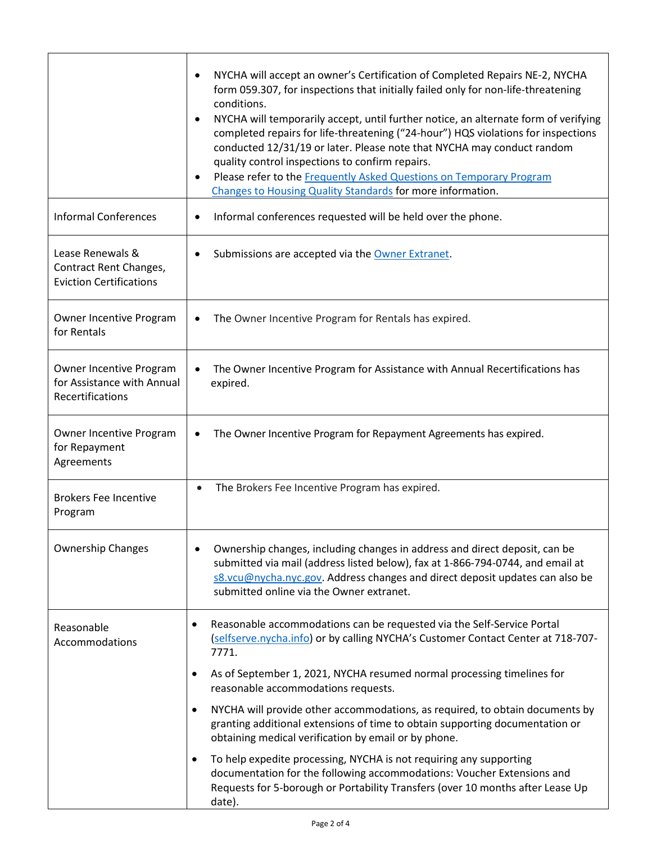|                                                                              | NYCHA will accept an owner's Certification of Completed Repairs NE-2, NYCHA<br>form 059.307, for inspections that initially failed only for non-life-threatening<br>conditions.<br>NYCHA will temporarily accept, until further notice, an alternate form of verifying<br>$\bullet$<br>completed repairs for life-threatening ("24-hour") HQS violations for inspections<br>conducted 12/31/19 or later. Please note that NYCHA may conduct random<br>quality control inspections to confirm repairs.<br>Please refer to the Frequently Asked Questions on Temporary Program<br>٠<br>Changes to Housing Quality Standards for more information. |
|------------------------------------------------------------------------------|-------------------------------------------------------------------------------------------------------------------------------------------------------------------------------------------------------------------------------------------------------------------------------------------------------------------------------------------------------------------------------------------------------------------------------------------------------------------------------------------------------------------------------------------------------------------------------------------------------------------------------------------------|
| <b>Informal Conferences</b>                                                  | Informal conferences requested will be held over the phone.                                                                                                                                                                                                                                                                                                                                                                                                                                                                                                                                                                                     |
| Lease Renewals &<br>Contract Rent Changes,<br><b>Eviction Certifications</b> | Submissions are accepted via the Owner Extranet.                                                                                                                                                                                                                                                                                                                                                                                                                                                                                                                                                                                                |
| Owner Incentive Program<br>for Rentals                                       | The Owner Incentive Program for Rentals has expired.                                                                                                                                                                                                                                                                                                                                                                                                                                                                                                                                                                                            |
| Owner Incentive Program<br>for Assistance with Annual<br>Recertifications    | The Owner Incentive Program for Assistance with Annual Recertifications has<br>expired.                                                                                                                                                                                                                                                                                                                                                                                                                                                                                                                                                         |
| Owner Incentive Program<br>for Repayment<br>Agreements                       | The Owner Incentive Program for Repayment Agreements has expired.                                                                                                                                                                                                                                                                                                                                                                                                                                                                                                                                                                               |
| <b>Brokers Fee Incentive</b><br>Program                                      | The Brokers Fee Incentive Program has expired.<br>$\bullet$                                                                                                                                                                                                                                                                                                                                                                                                                                                                                                                                                                                     |
| <b>Ownership Changes</b>                                                     | Ownership changes, including changes in address and direct deposit, can be<br>submitted via mail (address listed below), fax at 1-866-794-0744, and email at<br>s8.vcu@nycha.nyc.gov. Address changes and direct deposit updates can also be<br>submitted online via the Owner extranet.                                                                                                                                                                                                                                                                                                                                                        |
| Reasonable<br>Accommodations                                                 | Reasonable accommodations can be requested via the Self-Service Portal<br>$\bullet$<br>(selfserve.nycha.info) or by calling NYCHA's Customer Contact Center at 718-707-<br>7771.                                                                                                                                                                                                                                                                                                                                                                                                                                                                |
|                                                                              | As of September 1, 2021, NYCHA resumed normal processing timelines for<br>$\bullet$<br>reasonable accommodations requests.                                                                                                                                                                                                                                                                                                                                                                                                                                                                                                                      |
|                                                                              | NYCHA will provide other accommodations, as required, to obtain documents by<br>$\bullet$<br>granting additional extensions of time to obtain supporting documentation or<br>obtaining medical verification by email or by phone.                                                                                                                                                                                                                                                                                                                                                                                                               |
|                                                                              | To help expedite processing, NYCHA is not requiring any supporting<br>$\bullet$<br>documentation for the following accommodations: Voucher Extensions and<br>Requests for 5-borough or Portability Transfers (over 10 months after Lease Up<br>date).                                                                                                                                                                                                                                                                                                                                                                                           |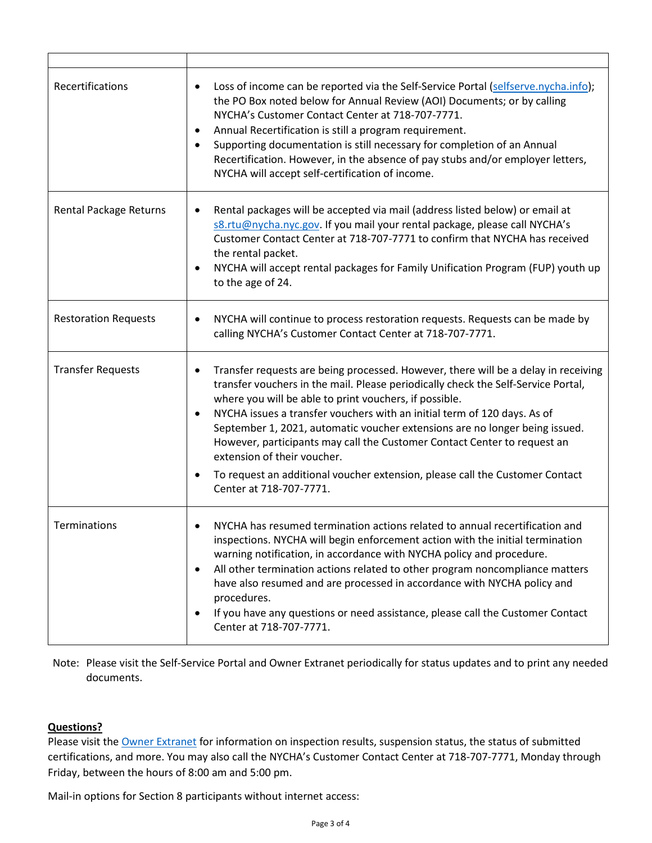| Recertifications            | Loss of income can be reported via the Self-Service Portal (selfserve.nycha.info);<br>٠<br>the PO Box noted below for Annual Review (AOI) Documents; or by calling<br>NYCHA's Customer Contact Center at 718-707-7771.<br>Annual Recertification is still a program requirement.<br>$\bullet$<br>Supporting documentation is still necessary for completion of an Annual<br>Recertification. However, in the absence of pay stubs and/or employer letters,<br>NYCHA will accept self-certification of income.                                                                                                                        |
|-----------------------------|--------------------------------------------------------------------------------------------------------------------------------------------------------------------------------------------------------------------------------------------------------------------------------------------------------------------------------------------------------------------------------------------------------------------------------------------------------------------------------------------------------------------------------------------------------------------------------------------------------------------------------------|
| Rental Package Returns      | Rental packages will be accepted via mail (address listed below) or email at<br>s8.rtu@nycha.nyc.gov. If you mail your rental package, please call NYCHA's<br>Customer Contact Center at 718-707-7771 to confirm that NYCHA has received<br>the rental packet.<br>NYCHA will accept rental packages for Family Unification Program (FUP) youth up<br>to the age of 24.                                                                                                                                                                                                                                                               |
| <b>Restoration Requests</b> | NYCHA will continue to process restoration requests. Requests can be made by<br>$\bullet$<br>calling NYCHA's Customer Contact Center at 718-707-7771.                                                                                                                                                                                                                                                                                                                                                                                                                                                                                |
| <b>Transfer Requests</b>    | Transfer requests are being processed. However, there will be a delay in receiving<br>$\bullet$<br>transfer vouchers in the mail. Please periodically check the Self-Service Portal,<br>where you will be able to print vouchers, if possible.<br>NYCHA issues a transfer vouchers with an initial term of 120 days. As of<br>September 1, 2021, automatic voucher extensions are no longer being issued.<br>However, participants may call the Customer Contact Center to request an<br>extension of their voucher.<br>To request an additional voucher extension, please call the Customer Contact<br>٠<br>Center at 718-707-7771. |
| Terminations                | NYCHA has resumed termination actions related to annual recertification and<br>inspections. NYCHA will begin enforcement action with the initial termination<br>warning notification, in accordance with NYCHA policy and procedure.<br>All other termination actions related to other program noncompliance matters<br>$\bullet$<br>have also resumed and are processed in accordance with NYCHA policy and<br>procedures.<br>If you have any questions or need assistance, please call the Customer Contact<br>Center at 718-707-7771.                                                                                             |

Note: Please visit the Self-Service Portal and Owner Extranet periodically for status updates and to print any needed documents.

## **Questions?**

Please visit the [Owner Extranet](https://eapps.nycha.info/Owners/login.aspx) for information on inspection results, suspension status, the status of submitted certifications, and more. You may also call the NYCHA's Customer Contact Center at 718-707-7771, Monday through Friday, between the hours of 8:00 am and 5:00 pm.

Mail-in options for Section 8 participants without internet access: